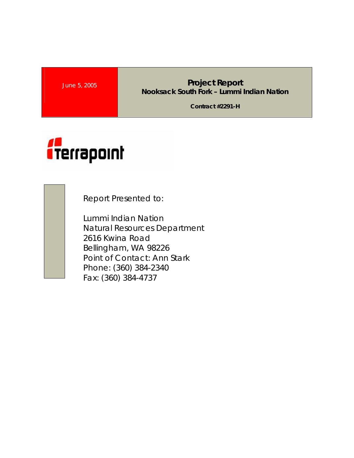## **June 5, 2005 <b>Project Report Project Report Nooksack South Fork – Lummi Indian Nation**

**Contract #2291-H** 



Report Presented to:

Lummi Indian Nation Natural Resources Department 2616 Kwina Road Bellingham, WA 98226 Point of Contact: Ann Stark Phone: (360) 384-2340 Fax: (360) 384-4737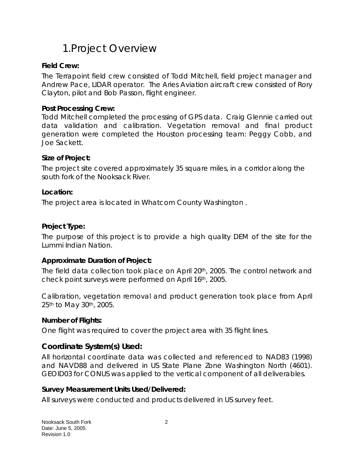## 1.Project Overview

### **Field Crew:**

The Terrapoint field crew consisted of Todd Mitchell, field project manager and Andrew Pace, LIDAR operator. The Aries Aviation aircraft crew consisted of Rory Clayton, pilot and Bob Passon, flight engineer.

#### **Post Processing Crew:**

Todd Mitchell completed the processing of GPS data. Craig Glennie carried out data validation and calibration. Vegetation removal and final product generation were completed the Houston processing team: Peggy Cobb, and Joe Sackett.

#### **Size of Project:**

The project site covered approximately 35 square miles, in a corridor along the south fork of the Nooksack River.

#### **Location:**

The project area is located in Whatcom County Washington .

#### **Project Type:**

The purpose of this project is to provide a high quality DEM of the site for the Lummi Indian Nation.

#### **Approximate Duration of Project:**

The field data collection took place on April 20th, 2005. The control network and check point surveys were performed on April 16th, 2005.

Calibration, vegetation removal and product generation took place from April 25th to May 30th, 2005.

#### **Number of Flights:**

One flight was required to cover the project area with 35 flight lines.

### **Coordinate System(s) Used:**

All horizontal coordinate data was collected and referenced to NAD83 (1998) and NAVD88 and delivered in US State Plane Zone Washington North (4601). GEOID03 for CONUS was applied to the vertical component of all deliverables.

#### **Survey Measurement Units Used/Delivered:**

All surveys were conducted and products delivered in US survey feet.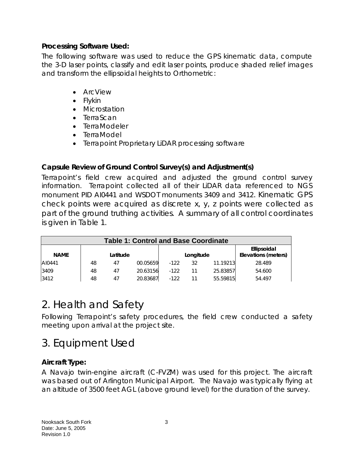### **Processing Software Used:**

The following software was used to reduce the GPS kinematic data, compute the 3-D laser points, classify and edit laser points, produce shaded relief images and transform the ellipsoidal heights to Orthometric:

- ArcView
- Flykin
- Microstation
- TerraScan
- TerraModeler
- TerraModel
- Terrapoint Proprietary LiDAR processing software

### **Capsule Review of Ground Control Survey(s) and Adjustment(s)**

Terrapoint's field crew acquired and adjusted the ground control survey information. Terrapoint collected all of their LiDAR data referenced to NGS monument PID AI0441 and WSDOT monuments 3409 and 3412. Kinematic GPS check points were acquired as discrete x, y, z points were collected as part of the ground truthing activities. A summary of all control coordinates is given in Table 1.

| <b>Table 1: Control and Base Coordinate</b> |          |    |          |           |    |          |                                    |  |
|---------------------------------------------|----------|----|----------|-----------|----|----------|------------------------------------|--|
| <b>NAME</b>                                 | Latitude |    |          | Longitude |    |          | Ellipsoidal<br>Elevations (meters) |  |
| AI0441                                      | 48       | 47 | 00.05659 | $-122$    | 32 | 11.19213 | 28.489                             |  |
| 3409                                        | 48       | 47 | 20.63156 | $-122$    |    | 25.83857 | 54.600                             |  |
| 3412                                        | 48       | 47 | 20.83687 | $-122$    |    | 55.59815 | 54.497                             |  |

# 2. Health and Safety

Following Terrapoint's safety procedures, the field crew conducted a safety meeting upon arrival at the project site.

# 3. Equipment Used

## **Aircraft Type:**

A Navajo twin-engine aircraft (C-FVZM) was used for this project. The aircraft was based out of Arlington Municipal Airport. The Navajo was typically flying at an altitude of 3500 feet AGL (above ground level) for the duration of the survey.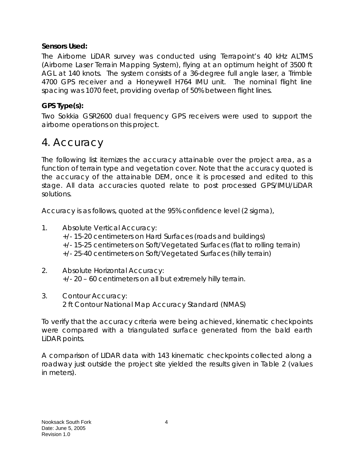### **Sensors Used:**

The Airborne LiDAR survey was conducted using Terrapoint's 40 kHz ALTMS (Airborne Laser Terrain Mapping System), flying at an optimum height of 3500 ft AGL at 140 knots. The system consists of a 36-degree full angle laser, a Trimble 4700 GPS receiver and a Honeywell H764 IMU unit. The nominal flight line spacing was 1070 feet, providing overlap of 50% between flight lines.

## **GPS Type(s):**

Two Sokkia GSR2600 dual frequency GPS receivers were used to support the airborne operations on this project.

## 4. Accuracy

The following list itemizes the accuracy attainable over the project area, as a function of terrain type and vegetation cover. Note that the accuracy quoted is the accuracy of the attainable DEM, once it is processed and edited to this stage. All data accuracies quoted relate to post processed GPS/IMU/LiDAR solutions.

Accuracy is as follows, quoted at the 95% confidence level (2 sigma),

- 1. Absolute Vertical Accuracy: +/- 15-20 centimeters on Hard Surfaces (roads and buildings) +/- 15-25 centimeters on Soft/Vegetated Surfaces (flat to rolling terrain) +/- 25-40 centimeters on Soft/Vegetated Surfaces (hilly terrain)
- 2. Absolute Horizontal Accuracy: +/- 20 – 60 centimeters on all but extremely hilly terrain.
- 3. Contour Accuracy: 2 ft Contour National Map Accuracy Standard (NMAS)

To verify that the accuracy criteria were being achieved, kinematic checkpoints were compared with a triangulated surface generated from the bald earth LiDAR points.

A comparison of LIDAR data with 143 kinematic checkpoints collected along a roadway just outside the project site yielded the results given in Table 2 (values in meters).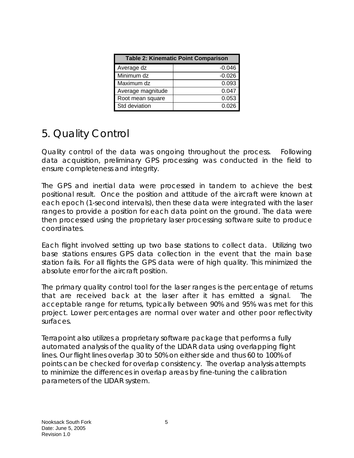| <b>Table 2: Kinematic Point Comparison</b> |          |  |  |  |  |
|--------------------------------------------|----------|--|--|--|--|
| Average dz                                 | $-0.046$ |  |  |  |  |
| Minimum dz                                 | $-0.026$ |  |  |  |  |
| Maximum dz                                 | 0.093    |  |  |  |  |
| Average magnitude                          | 0.047    |  |  |  |  |
| Root mean square                           | 0.053    |  |  |  |  |
| Std deviation                              | 0.026    |  |  |  |  |

## 5. Quality Control

Quality control of the data was ongoing throughout the process. Following data acquisition, preliminary GPS processing was conducted in the field to ensure completeness and integrity.

The GPS and inertial data were processed in tandem to achieve the best positional result. Once the position and attitude of the aircraft were known at each epoch (1-second intervals), then these data were integrated with the laser ranges to provide a position for each data point on the ground. The data were then processed using the proprietary laser processing software suite to produce coordinates.

Each flight involved setting up two base stations to collect data. Utilizing two base stations ensures GPS data collection in the event that the main base station fails. For all flights the GPS data were of high quality. This minimized the absolute error for the aircraft position.

The primary quality control tool for the laser ranges is the percentage of returns that are received back at the laser after it has emitted a signal. The acceptable range for returns, typically between 90% and 95% was met for this project. Lower percentages are normal over water and other poor reflectivity surfaces.

Terrapoint also utilizes a proprietary software package that performs a fully automated analysis of the quality of the LIDAR data using overlapping flight lines. Our flight lines overlap 30 to 50% on either side and thus 60 to 100% of points can be checked for overlap consistency. The overlap analysis attempts to minimize the differences in overlap areas by fine-tuning the calibration parameters of the LIDAR system.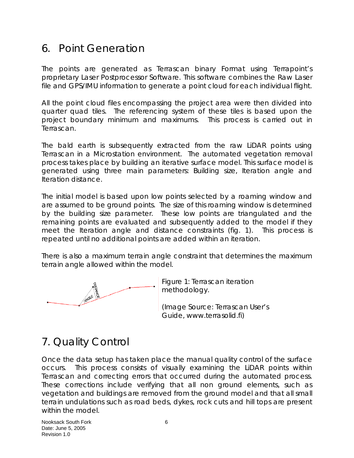## 6. Point Generation

The points are generated as Terrascan binary Format using Terrapoint's proprietary Laser Postprocessor Software. This software combines the Raw Laser file and GPS/IMU information to generate a point cloud for each individual flight.

All the point cloud files encompassing the project area were then divided into quarter quad tiles. The referencing system of these tiles is based upon the project boundary minimum and maximums. This process is carried out in Terrascan.

The bald earth is subsequently extracted from the raw LiDAR points using Terrascan in a Microstation environment. The automated vegetation removal process takes place by building an iterative surface model. This surface model is generated using three main parameters: Building size, Iteration angle and Iteration distance.

The initial model is based upon low points selected by a roaming window and are assumed to be ground points. The size of this roaming window is determined by the building size parameter. These low points are triangulated and the remaining points are evaluated and subsequently added to the model if they meet the Iteration angle and distance constraints (fig. 1). This process is repeated until no additional points are added within an iteration.

There is also a maximum terrain angle constraint that determines the maximum terrain angle allowed within the model.



Figure 1: Terrascan iteration methodology.

(Image Source: Terrascan User's Guide, www.terrasolid.fi)

# 7. Quality Control

Once the data setup has taken place the manual quality control of the surface occurs. This process consists of visually examining the LiDAR points within Terrascan and correcting errors that occurred during the automated process. These corrections include verifying that all non ground elements, such as vegetation and buildings are removed from the ground model and that all small terrain undulations such as road beds, dykes, rock cuts and hill tops are present within the model.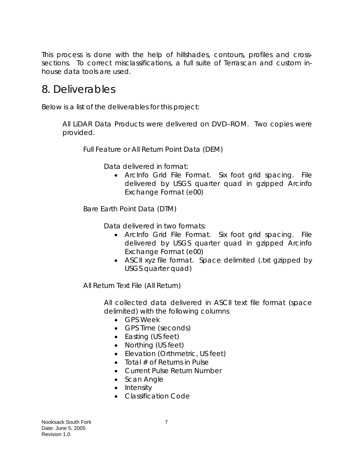This process is done with the help of hillshades, contours, profiles and crosssections. To correct misclassifications, a full suite of Terrascan and custom inhouse data tools are used.

## 8. Deliverables

Below is a list of the deliverables for this project:

All LiDAR Data Products were delivered on DVD–ROM. Two copies were provided.

Full Feature or All Return Point Data (DEM)

Data delivered in format:

• ArcInfo Grid File Format. Six foot grid spacing. File delivered by USGS quarter quad in gzipped Arcinfo Exchange Format (e00)

Bare Earth Point Data (DTM)

Data delivered in two formats:

- ArcInfo Grid File Format. Six foot grid spacing. File delivered by USGS quarter quad in gzipped Arcinfo Exchange Format (e00)
- ASCII xyz file format. Space delimited (.txt gzipped by USGS quarter quad)

All Return Text File (All Return)

All collected data delivered in ASCII text file format (space delimited) with the following columns

- GPS Week
- GPS Time (seconds)
- Easting (US feet)
- Northing (US feet)
- Elevation (Orthmetric, US feet)
- Total  $#$  of Returns in Pulse
- Current Pulse Return Number
- Scan Angle
- Intensity
- Classification Code